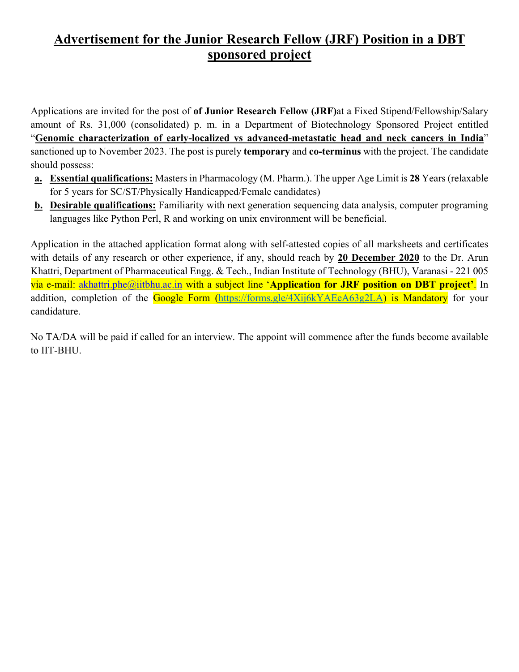## **Advertisement for the Junior Research Fellow (JRF) Position in a DBT sponsored project**

Applications are invited for the post of **of Junior Research Fellow (JRF)**at a Fixed Stipend/Fellowship/Salary amount of Rs. 31,000 (consolidated) p. m. in a Department of Biotechnology Sponsored Project entitled "**Genomic characterization of early-localized vs advanced-metastatic head and neck cancers in India**" sanctioned up to November 2023. The post is purely **temporary** and **co-terminus** with the project. The candidate should possess:

- **a. Essential qualifications:** Masters in Pharmacology (M. Pharm.). The upper Age Limit is **28** Years (relaxable for 5 years for SC/ST/Physically Handicapped/Female candidates)
- **b. Desirable qualifications:** Familiarity with next generation sequencing data analysis, computer programing languages like Python Perl, R and working on unix environment will be beneficial.

Application in the attached application format along with self-attested copies of all marksheets and certificates with details of any research or other experience, if any, should reach by **20 December 2020** to the Dr. Arun Khattri, Department of Pharmaceutical Engg. & Tech., Indian Institute of Technology (BHU), Varanasi - 221 005 via e-mail: akhattri.phe@iitbhu.ac.in with a subject line '**Application for JRF position on DBT project'**. In addition, completion of the Google Form (https://forms.gle/4Xij6kYAEeA63g2LA) is Mandatory for your candidature.

No TA/DA will be paid if called for an interview. The appoint will commence after the funds become available to IIT-BHU.